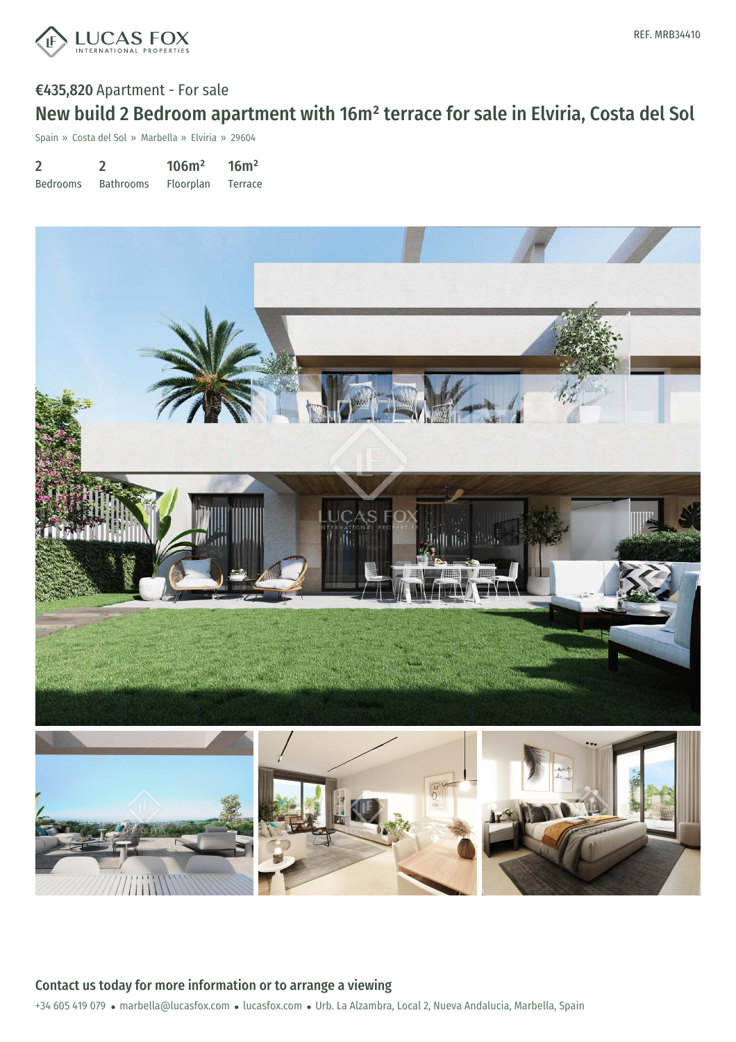

## €435,820 Apartment - For sale New build 2 Bedroom apartment with 16m² terrace for sale in Elviria, Costa del Sol

Spain » Costa del Sol » Marbella » Elviria » 29604

| $\overline{2}$  |                  | 106m <sup>2</sup> | 16m <sup>2</sup> |
|-----------------|------------------|-------------------|------------------|
| <b>Bedrooms</b> | <b>Bathrooms</b> | <b>Floorplan</b>  | Terrace          |



+34 605 419 079 · marbella@lucasfox.com · lucasfox.com · Urb. La Alzambra, Local 2, Nueva Andalucia, Marbella, Spain Contact us today for more information or to arrange a viewing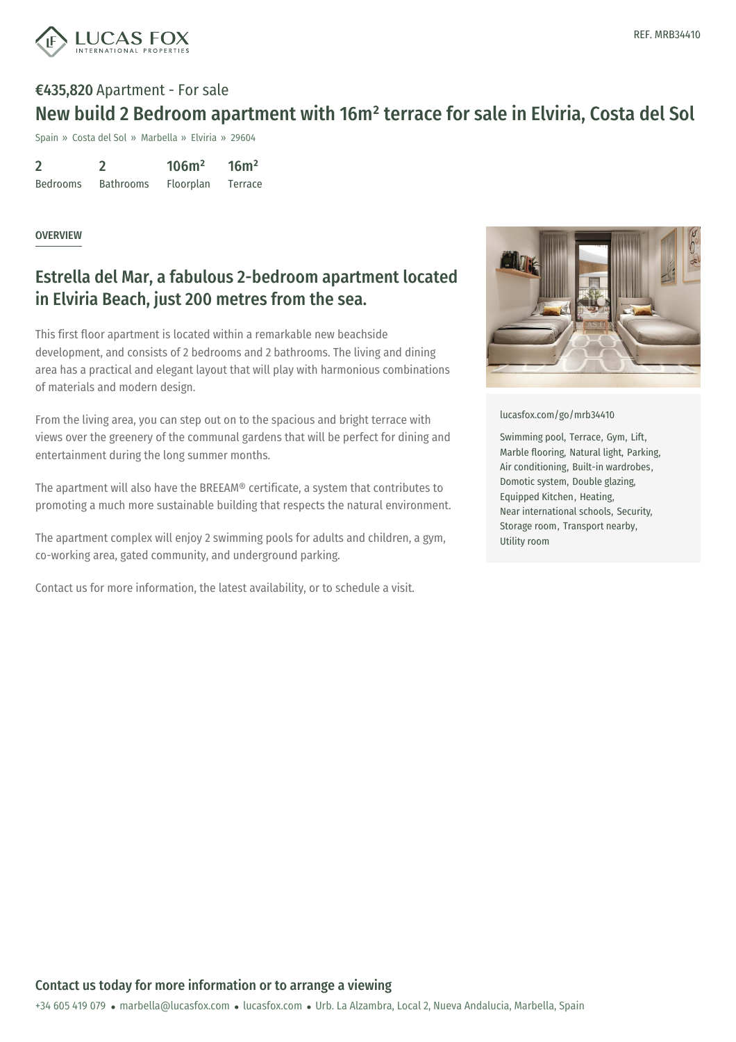

# €435,820 Apartment - For sale New build 2 Bedroom apartment with 16m² terrace for sale in Elviria, Costa del Sol

Spain » Costa del Sol » Marbella » Elviria » 29604

2 Bedrooms 2 Bathrooms 106m² Floorplan  $16m<sup>2</sup>$ Terrace

#### **OVERVIEW**

## Estrella del Mar, a fabulous 2-bedroom apartment located in Elviria Beach, just 200 metres from the sea.

This first floor apartment is located within a remarkable new beachside development, and consists of 2 bedrooms and 2 bathrooms. The living and dining area has a practical and elegant layout that will play with harmonious combinations of materials and modern design.

From the living area, you can step out on to the spacious and bright terrace with views over the greenery of the communal gardens that will be perfect for dining and entertainment during the long summer months.

The apartment will also have the BREEAM® certificate, a system that contributes to promoting a much more sustainable building that respects the natural environment.

The apartment complex will enjoy 2 swimming pools for adults and children, a gym, co-working area, gated community, and underground parking.

Contact us for more information, the latest availability, or to schedule a visit.



[lucasfox.com/go/mrb34410](https://www.lucasfox.com/go/mrb34410)

Swimming pool, Terrace, Gym, Lift, Marble flooring, Natural light, Parking, Air conditioning, Built-in wardrobes, Domotic system, Double glazing, Equipped Kitchen, Heating, Near international schools, Security, Storage room, Transport nearby, Utility room

+34 605 419 079 · marbella@lucasfox.com · lucasfox.com · Urb. La Alzambra, Local 2, Nueva Andalucia, Marbella, Spain